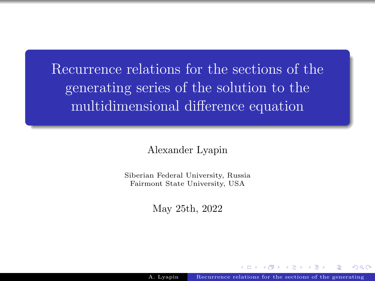<span id="page-0-0"></span>Recurrence relations for the sections of the generating series of the solution to the multidimensional difference equation

Alexander Lyapin

Siberian Federal University, Russia Fairmont State University, USA

May 25th, 2022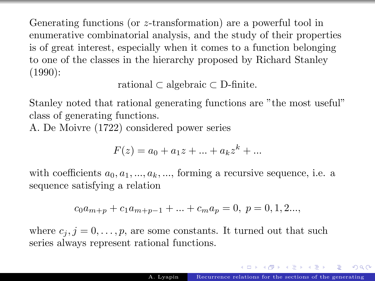Generating functions (or z-transformation) are a powerful tool in enumerative combinatorial analysis, and the study of their properties is of great interest, especially when it comes to a function belonging to one of the classes in the hierarchy proposed by Richard Stanley (1990):

rational ⊂ algebraic ⊂ D-finite.

Stanley noted that rational generating functions are "the most useful" class of generating functions.

A. De Moivre (1722) considered power series

$$
F(z) = a_0 + a_1 z + \dots + a_k z^k + \dots
$$

with coefficients  $a_0, a_1, ..., a_k, ...,$  forming a recursive sequence, i.e. a sequence satisfying a relation

$$
c_0 a_{m+p} + c_1 a_{m+p-1} + \dots + c_m a_p = 0, \ p = 0, 1, 2...
$$

where  $c_j$ ,  $j = 0, \ldots, p$ , are some constants. It turned out that such series always represent rational functions.

 $\left\{ \begin{array}{ccc} 1 & 0 & 0 \\ 0 & 1 & 0 \end{array} \right.$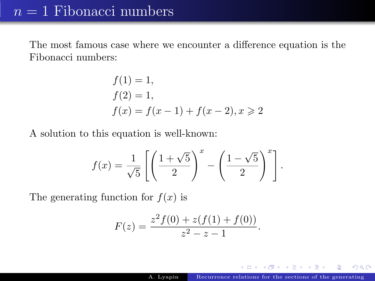## $n = 1$  Fibonacci numbers

The most famous case where we encounter a difference equation is the Fibonacci numbers:

$$
f(1) = 1,f(2) = 1,f(x) = f(x - 1) + f(x - 2), x \ge 2
$$

A solution to this equation is well-known:

$$
f(x) = \frac{1}{\sqrt{5}} \left[ \left( \frac{1+\sqrt{5}}{2} \right)^x - \left( \frac{1-\sqrt{5}}{2} \right)^x \right]
$$

The generating function for  $f(x)$  is

$$
F(z) = \frac{z^2 f(0) + z(f(1) + f(0))}{z^2 - z - 1}.
$$

.

 $\left\{ \begin{array}{ccc} 1 & 0 & 0 \\ 0 & 1 & 0 \end{array} \right.$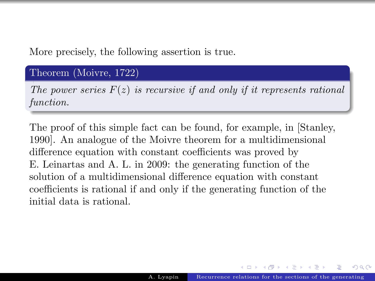More precisely, the following assertion is true.

#### Theorem (Moivre, 1722)

The power series  $F(z)$  is recursive if and only if it represents rational function.

The proof of this simple fact can be found, for example, in [Stanley, 1990]. An analogue of the Moivre theorem for a multidimensional difference equation with constant coefficients was proved by E. Leinartas and A. L. in 2009: the generating function of the solution of a multidimensional difference equation with constant coefficients is rational if and only if the generating function of the initial data is rational.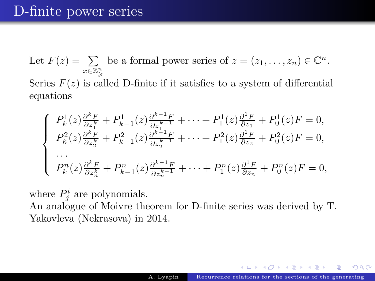# D-finite power series

Let  $F(z) = \sum$  $x\in\mathbb{Z}_{\geqslant}^{n}$ be a formal power series of  $z = (z_1, \ldots, z_n) \in \mathbb{C}^n$ . Series  $F(z)$  is called D-finite if it satisfies to a system of differential equations

$$
\begin{cases}\nP_k^1(z)\frac{\partial^k F}{\partial z_1^k} + P_{k-1}^1(z)\frac{\partial^{k-1} F}{\partial z_1^{k-1}} + \dots + P_1^1(z)\frac{\partial^1 F}{\partial z_1} + P_0^1(z)F = 0, \\
P_k^2(z)\frac{\partial^k F}{\partial z_2^k} + P_{k-1}^2(z)\frac{\partial^{k-1} F}{\partial z_2^{k-1}} + \dots + P_1^2(z)\frac{\partial^1 F}{\partial z_2} + P_0^2(z)F = 0, \\
\dots \\
P_k^n(z)\frac{\partial^k F}{\partial z_n^k} + P_{k-1}^n(z)\frac{\partial^{k-1} F}{\partial z_n^{k-1}} + \dots + P_1^n(z)\frac{\partial^1 F}{\partial z_n} + P_0^n(z)F = 0,\n\end{cases}
$$

where  $P_j^i$  are polynomials.

An analogue of Moivre theorem for D-finite series was derived by T. Yakovleva (Nekrasova) in 2014.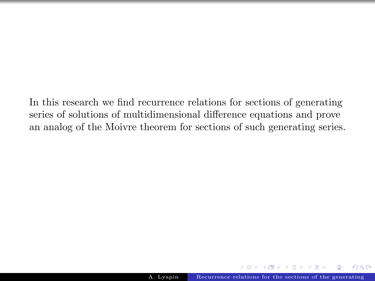In this research we find recurrence relations for sections of generating series of solutions of multidimensional difference equations and prove an analog of the Moivre theorem for sections of such generating series.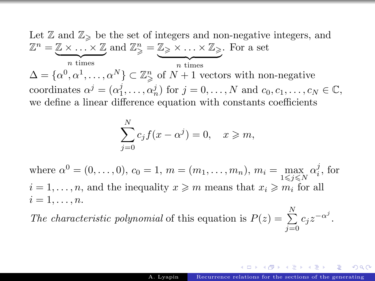Let  $\mathbb{Z}$  and  $\mathbb{Z}_{\geq}$  be the set of integers and non-negative integers, and  $\mathbb{Z}^n = \mathbb{Z} \times \ldots \times \mathbb{Z}$  and  $\mathbb{Z}_{\geqslant}^n = \mathbb{Z}_{\geqslant} \times \ldots \times \mathbb{Z}_{\geqslant}$ . For a set  $\overline{n}$  times  $\overline{n}$  times  $\Delta = {\alpha^0, \alpha^1, \ldots, \alpha^N} \subset \mathbb{Z}_{\geq 0}^n$  of  $N+1$  vectors with non-negative coordinates  $\alpha^j = (\alpha_1^j, \ldots, \alpha_n^j)$  for  $j = 0, \ldots, N$  and  $c_0, c_1, \ldots, c_N \in \mathbb{C}$ , we define a linear difference equation with constants coefficients

$$
\sum_{j=0}^{N} c_j f(x - \alpha^j) = 0, \quad x \geq m,
$$

where  $\alpha^0 = (0, \ldots, 0), c_0 = 1, m = (m_1, \ldots, m_n), m_i = \max_{1 \leq j \leq N} \alpha_i^j$ , for  $i = 1, \ldots, n$ , and the inequality  $x \geq m$  means that  $x_i \geq m_i$  for all  $i=1,\ldots,n$ .

The characteristic polynomial of this equation is  $P(z) = \sum_{n=1}^{N}$  $\sum_{j=0}^{\infty} c_j z^{-\alpha^j}.$ 

つひひ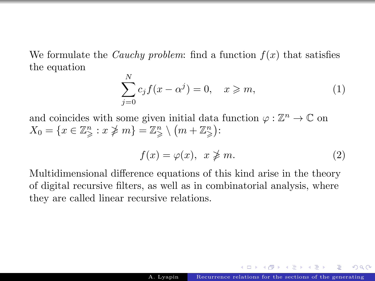We formulate the *Cauchy problem:* find a function  $f(x)$  that satisfies the equation

<span id="page-7-0"></span>
$$
\sum_{j=0}^{N} c_j f(x - \alpha^j) = 0, \quad x \geqslant m,
$$
\n(1)

and coincides with some given initial data function  $\varphi : \mathbb{Z}^n \to \mathbb{C}$  on  $X_0 = \{x \in \mathbb{Z}_{\geqslant}^n : x \not\geqslant m\} = \mathbb{Z}_{\geqslant}^n \setminus (m + \mathbb{Z}_{\geqslant}^n)$ :

<span id="page-7-1"></span>
$$
f(x) = \varphi(x), \quad x \ngeq m. \tag{2}
$$

Multidimensional difference equations of this kind arise in the theory of digital recursive filters, as well as in combinatorial analysis, where they are called linear recursive relations.

スター・ステーション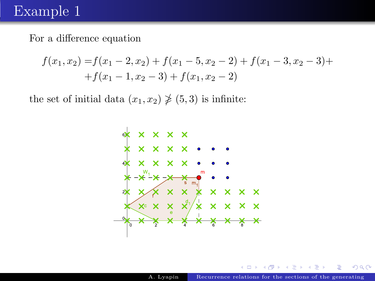## Example 1

For a difference equation

$$
f(x_1, x_2) = f(x_1 - 2, x_2) + f(x_1 - 5, x_2 - 2) + f(x_1 - 3, x_2 - 3) ++ f(x_1 - 1, x_2 - 3) + f(x_1, x_2 - 2)
$$

the set of initial data  $(x_1, x_2) \not\geq (5, 3)$  is infinite:

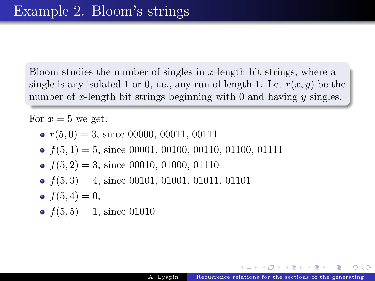Bloom studies the number of singles in x-length bit strings, where a single is any isolated 1 or 0, i.e., any run of length 1. Let  $r(x, y)$  be the number of x-length bit strings beginning with 0 and having  $y$  singles.

For  $x = 5$  we get:

- $r(5, 0) = 3$ , since 00000, 00011, 00111
- $f(5, 1) = 5$ , since 00001, 00100, 00110, 01100, 01111
- $f(5, 2) = 3$ , since 00010, 01000, 01110
- $f(5, 3) = 4$ , since 00101, 01001, 01011, 01101
- $f(5, 4) = 0$ ,
- $f(5, 5) = 1$ , since 01010

AD > 4 B > 4 B >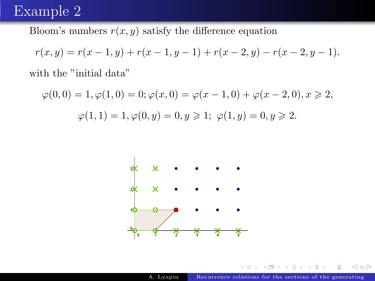## Example 2

Bloom's numbers  $r(x, y)$  satisfy the difference equation

$$
r(x,y)=r(x-1,y)+r(x-1,y-1)+r(x-2,y)-r(x-2,y-1).\\
$$

with the "initial data"

$$
\varphi(0,0) = 1, \varphi(1,0) = 0; \varphi(x,0) = \varphi(x-1,0) + \varphi(x-2,0), x \ge 2,
$$
  

$$
\varphi(1,1) = 1, \varphi(0,y) = 0, y \ge 1; \varphi(1,y) = 0, y \ge 2.
$$



正々 メモ

 $299$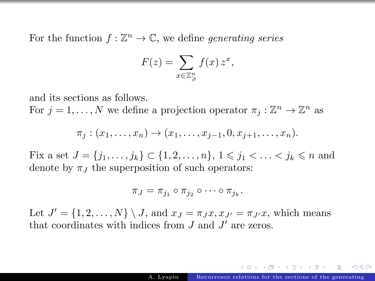For the function  $f : \mathbb{Z}^n \to \mathbb{C}$ , we define *generating series* 

$$
F(z) = \sum_{x \in \mathbb{Z}_{\geqslant}^n} f(x) z^x,
$$

and its sections as follows.

For  $j = 1, ..., N$  we define a projection operator  $\pi_j : \mathbb{Z}^n \to \mathbb{Z}^n$  as

$$
\pi_j : (x_1, \ldots, x_n) \to (x_1, \ldots, x_{j-1}, 0, x_{j+1}, \ldots, x_n).
$$

Fix a set  $J = \{j_1, \ldots, j_k\} \subset \{1, 2, \ldots, n\}, 1 \leq j_1 < \ldots < j_k \leq n$  and denote by  $\pi_I$  the superposition of such operators:

$$
\pi_J=\pi_{j_1}\circ\pi_{j_2}\circ\cdots\circ\pi_{j_k}.
$$

Let  $J' = \{1, 2, ..., N\} \setminus J$ , and  $x_J = \pi_J x, x_{J'} = \pi_{J'} x$ , which means that coordinates with indices from  $J$  and  $J'$  are zeros.

 $\left\{ \begin{array}{ccc} 1 & 0 & 0 \\ 0 & 1 & 0 \end{array} \right.$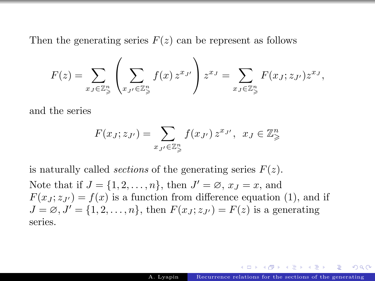Then the generating series  $F(z)$  can be represent as follows

$$
F(z) = \sum_{x_J \in \mathbb{Z}_{\geqslant}^n} \left( \sum_{x_{J'} \in \mathbb{Z}_{\geqslant}^n} f(x) z^{x_{J'}} \right) z^{x_J} = \sum_{x_J \in \mathbb{Z}_{\geqslant}^n} F(x_J; z_{J'}) z^{x_J},
$$

and the series

$$
F(x_J; z_{J'}) = \sum_{x_{J'} \in \mathbb{Z}_{\geqslant}^n} f(x_{J'}) z^{x_{J'}}, \ \ x_J \in \mathbb{Z}_{\geqslant}^n
$$

is naturally called *sections* of the generating series  $F(z)$ . Note that if  $J = \{1, 2, \ldots, n\}$ , then  $J' = \emptyset$ ,  $x_J = x$ , and  $F(x_J; z_{J'}) = f(x)$  is a function from difference equation (1), and if  $J = \emptyset, J' = \{1, 2, \ldots, n\},\$  then  $F(x_J; z_{J'}) = F(z)$  is a generating series.

つひひ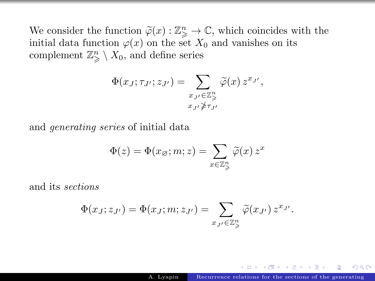We consider the function  $\tilde{\varphi}(x): \mathbb{Z}_{\geq}^n \to \mathbb{C}$ , which coincides with the initial data function  $\varphi(x)$  on the set  $X_2$  and vanishes on its initial data function  $\varphi(x)$  on the set  $X_0$  and vanishes on its complement  $\mathbb{Z}_{\geqslant}^n \setminus X_0$ , and define series

$$
\Phi(x_J; \tau_{J'}; z_{J'}) = \sum_{\substack{x_{J'} \in \mathbb{Z}_{\geqslant}^n \\ x_{J'} \ngeqslant \tau_{J'}}} \widetilde{\varphi}(x) z^{x_{J'}},
$$

and generating series of initial data

$$
\Phi(z) = \Phi(x_{\varnothing}; m; z) = \sum_{x \in \mathbb{Z}_{\geqslant}^n} \widetilde{\varphi}(x) z^x
$$

and its sections

$$
\Phi(x_J; z_{J'}) = \Phi(x_J; m; z_{J'}) = \sum_{x_{J'} \in \mathbb{Z}_{\geqslant}^n} \widetilde{\varphi}(x_{J'}) z^{x_{J'}}.
$$

イロト イ押ト イヨト イヨト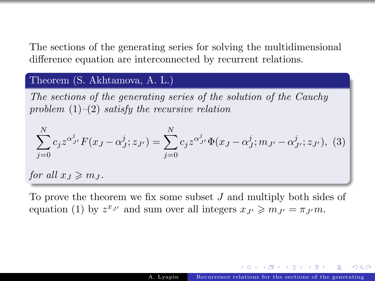The sections of the generating series for solving the multidimensional difference equation are interconnected by recurrent relations.

#### Theorem (S. Akhtamova, A. L.)

The sections of the generating series of the solution of the Cauchy problem  $(1)$ – $(2)$  satisfy the recursive relation

<span id="page-14-0"></span>
$$
\sum_{j=0}^{N} c_j z^{\alpha_{J'}^j} F(x_J - \alpha_j^j; z_{J'}) = \sum_{j=0}^{N} c_j z^{\alpha_{J'}^j} \Phi(x_J - \alpha_j^j; m_{J'} - \alpha_{J'}^j; z_{J'}),
$$
 (3)

for all  $x_J \geq m_J$ .

To prove the theorem we fix some subset  $J$  and multiply both sides of equation (1) by  $z^{x_{J'}}$  and sum over all integers  $x_{J'} \geq m_{J'} = \pi_{J'} m$ .

 $(1)$   $(1)$   $(1)$   $(1)$   $(1)$   $(1)$   $(1)$   $(1)$   $(1)$   $(1)$   $(1)$   $(1)$   $(1)$   $(1)$   $(1)$   $(1)$   $(1)$   $(1)$   $(1)$   $(1)$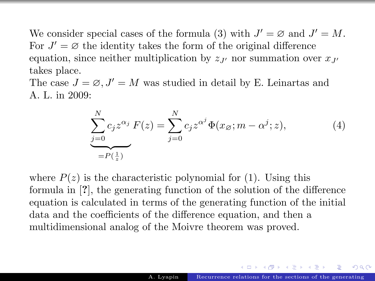We consider special cases of the formula [\(3\)](#page-14-0) with  $J' = \emptyset$  and  $J' = M$ . For  $J' = \emptyset$  the identity takes the form of the original difference equation, since neither multiplication by  $z_{J'}$  nor summation over  $x_{J'}$ takes place.

The case  $J = \emptyset, J' = M$  was studied in detail by E. Leinartas and A. L. in 2009:

$$
\sum_{j=0}^{N} c_j z^{\alpha_j} F(z) = \sum_{j=0}^{N} c_j z^{\alpha^j} \Phi(x_{\varnothing}; m - \alpha^j; z),
$$
\n(4)

where  $P(z)$  is the characteristic polynomial for (1). Using this formula in [?], the generating function of the solution of the difference equation is calculated in terms of the generating function of the initial data and the coefficients of the difference equation, and then a multidimensional analog of the Moivre theorem was proved.

 $(1 + 4)$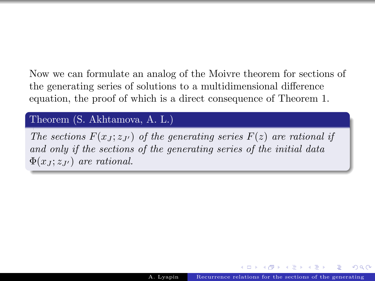Now we can formulate an analog of the Moivre theorem for sections of the generating series of solutions to a multidimensional difference equation, the proof of which is a direct consequence of Theorem 1.

#### Theorem (S. Akhtamova, A. L.)

The sections  $F(x_J; z_{J'})$  of the generating series  $F(z)$  are rational if and only if the sections of the generating series of the initial data  $\Phi(x_j; z_{J'})$  are rational.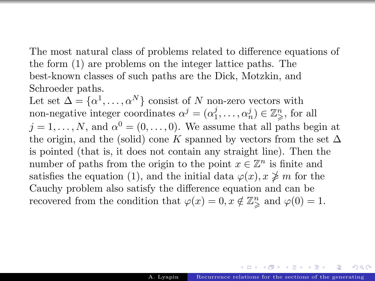The most natural class of problems related to difference equations of the form [\(1\)](#page-7-0) are problems on the integer lattice paths. The best-known classes of such paths are the Dick, Motzkin, and Schroeder paths.

Let set  $\Delta = {\alpha^1, ..., \alpha^N}$  consist of N non-zero vectors with non-negative integer coordinates  $\alpha^j = (\alpha_1^j, \dots, \alpha_n^j) \in \mathbb{Z}_{\geqslant}^n$ , for all  $j = 1, \ldots, N$ , and  $\alpha^0 = (0, \ldots, 0)$ . We assume that all paths begin at the origin, and the (solid) cone K spanned by vectors from the set  $\Delta$ is pointed (that is, it does not contain any straight line). Then the number of paths from the origin to the point  $x \in \mathbb{Z}^n$  is finite and satisfies the equation [\(1\)](#page-7-0), and the initial data  $\varphi(x)$ ,  $x \not\geq m$  for the Cauchy problem also satisfy the difference equation and can be recovered from the condition that  $\varphi(x) = 0, x \notin \mathbb{Z}_{\geq 0}^n$  and  $\varphi(0) = 1$ .

 $(1 + 4\sqrt{3}) \times (1 + 4\sqrt{3})$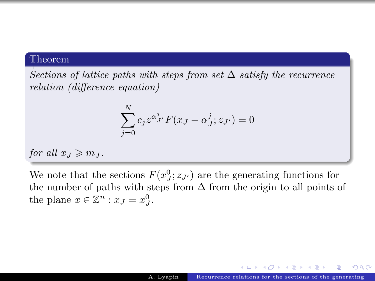#### Theorem

Sections of lattice paths with steps from set  $\Delta$  satisfy the recurrence relation (difference equation)

$$
\sum_{j=0}^{N} c_j z^{\alpha^j_{J'}} F(x_J - \alpha^j_J; z_{J'}) = 0
$$

for all  $x_J \geqslant m_J$ .

We note that the sections  $F(x_j^0; z_{J'})$  are the generating functions for the number of paths with steps from  $\Delta$  from the origin to all points of the plane  $x \in \mathbb{Z}^n : x_J = x_J^0$ .

 $\mathcal{A} \oplus \mathcal{B}$  and  $\mathcal{A} \oplus \mathcal{B}$  and  $\mathcal{B} \oplus \mathcal{B}$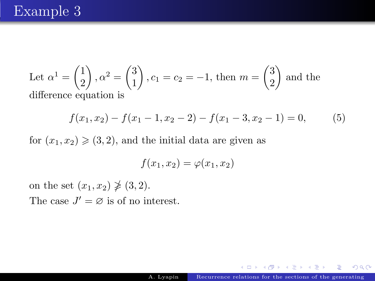Let 
$$
\alpha^1 = \begin{pmatrix} 1 \\ 2 \end{pmatrix}
$$
,  $\alpha^2 = \begin{pmatrix} 3 \\ 1 \end{pmatrix}$ ,  $c_1 = c_2 = -1$ , then  $m = \begin{pmatrix} 3 \\ 2 \end{pmatrix}$  and the difference equation is

$$
f(x_1, x_2) - f(x_1 - 1, x_2 - 2) - f(x_1 - 3, x_2 - 1) = 0,
$$
 (5)

for  $(x_1, x_2) \geq (3, 2)$ , and the initial data are given as

$$
f(x_1, x_2) = \varphi(x_1, x_2)
$$

on the set  $(x_1, x_2) \not\geq (3, 2)$ . The case  $J' = \emptyset$  is of no interest.

ト メモト メモト

 $2Q$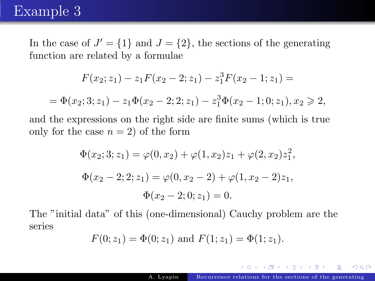## Example 3

In the case of  $J' = \{1\}$  and  $J = \{2\}$ , the sections of the generating function are related by a formulae

$$
F(x_2; z_1) - z_1 F(x_2 - 2; z_1) - z_1^3 F(x_2 - 1; z_1) =
$$
  
=  $\Phi(x_2; 3; z_1) - z_1 \Phi(x_2 - 2; z_1) - z_1^3 \Phi(x_2 - 1; 0; z_1), x_2 \ge 2,$ 

and the expressions on the right side are finite sums (which is true only for the case  $n = 2$ ) of the form

$$
\Phi(x_2; 3; z_1) = \varphi(0, x_2) + \varphi(1, x_2)z_1 + \varphi(2, x_2)z_1^2,
$$
  

$$
\Phi(x_2 - 2; 2; z_1) = \varphi(0, x_2 - 2) + \varphi(1, x_2 - 2)z_1,
$$
  

$$
\Phi(x_2 - 2; 0; z_1) = 0.
$$

The "initial data" of this (one-dimensional) Cauchy problem are the series

$$
F(0; z_1) = \Phi(0; z_1)
$$
 and  $F(1; z_1) = \Phi(1; z_1)$ .

イロト イ母ト イヨト イヨ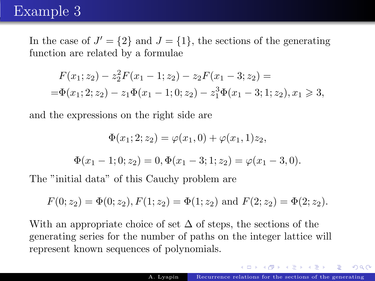## Example 3

In the case of  $J' = \{2\}$  and  $J = \{1\}$ , the sections of the generating function are related by a formulae

$$
F(x_1; z_2) - z_2^2 F(x_1 - 1; z_2) - z_2 F(x_1 - 3; z_2) =
$$
  
=  $\Phi(x_1; 2; z_2) - z_1 \Phi(x_1 - 1; 0; z_2) - z_1^3 \Phi(x_1 - 3; 1; z_2), x_1 \ge 3,$ 

and the expressions on the right side are

$$
\Phi(x_1; 2; z_2) = \varphi(x_1, 0) + \varphi(x_1, 1)z_2,
$$

$$
\Phi(x_1 - 1; 0; z_2) = 0, \Phi(x_1 - 3; 1; z_2) = \varphi(x_1 - 3, 0).
$$

The "initial data" of this Cauchy problem are

$$
F(0; z_2) = \Phi(0; z_2), F(1; z_2) = \Phi(1; z_2)
$$
 and  $F(2; z_2) = \Phi(2; z_2)$ .

With an appropriate choice of set  $\Delta$  of steps, the sections of the generating series for the number of paths on the integer lattice will represent known sequences of polynomials.

 $\sqrt{m}$   $\rightarrow$   $\sqrt{m}$   $\rightarrow$   $\sqrt{m}$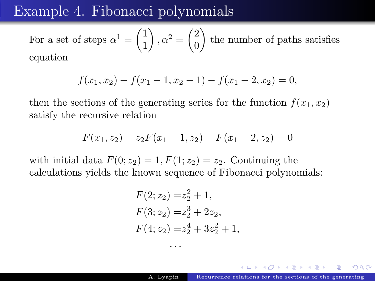## Example 4. Fibonacci polynomials

For a set of steps  $\alpha^1 = \begin{pmatrix} 1 \\ 1 \end{pmatrix}$ 1  $\bigg), \alpha^2 = \bigg(\begin{matrix} 2 \\ 0 \end{matrix}\bigg)$  $\theta$  the number of paths satisfies equation

$$
f(x_1, x_2) - f(x_1 - 1, x_2 - 1) - f(x_1 - 2, x_2) = 0,
$$

then the sections of the generating series for the function  $f(x_1, x_2)$ satisfy the recursive relation

$$
F(x_1, z_2) - z_2 F(x_1 - 1, z_2) - F(x_1 - 2, z_2) = 0
$$

with initial data  $F(0; z_2) = 1, F(1; z_2) = z_2$ . Continuing the calculations yields the known sequence of Fibonacci polynomials:

. . .

$$
F(2; z2) = z22 + 1,
$$
  
\n
$$
F(3; z2) = z23 + 2z2,
$$
  
\n
$$
F(4; z2) = z24 + 3z22 + 1,
$$

イロト イ部 トメ ミト メモト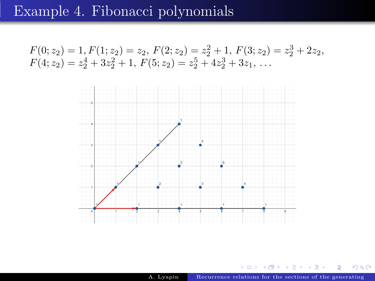## Example 4. Fibonacci polynomials

$$
F(0; z2) = 1, F(1; z2) = z2, F(2; z2) = z22 + 1, F(3; z2) = z23 + 2z2,F(4; z2) = z24 + 3z22 + 1, F(5; z2) = z25 + 4z23 + 3z1, ...
$$



**← ロ → ← イ 団** A. Lyapin [Recurrence relations for the sections of the generating](#page-0-0)

 $\mathbf{p}$  . D-1 B

 $\rightarrow$ 

 $\rightarrow$ 

 $299$ 

É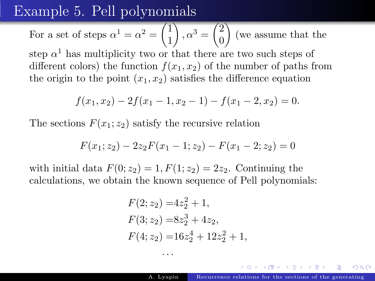## Example 5. Pell polynomials

For a set of steps 
$$
\alpha^1 = \alpha^2 = \begin{pmatrix} 1 \\ 1 \end{pmatrix}
$$
,  $\alpha^3 = \begin{pmatrix} 2 \\ 0 \end{pmatrix}$  (we assume that the

step  $\alpha^1$  has multiplicity two or that there are two such steps of different colors) the function  $f(x_1, x_2)$  of the number of paths from the origin to the point  $(x_1, x_2)$  satisfies the difference equation

$$
f(x_1, x_2) - 2f(x_1 - 1, x_2 - 1) - f(x_1 - 2, x_2) = 0.
$$

The sections  $F(x_1; z_2)$  satisfy the recursive relation

$$
F(x_1; z_2) - 2z_2F(x_1 - 1; z_2) - F(x_1 - 2; z_2) = 0
$$

with initial data  $F(0; z_2) = 1$ ,  $F(1; z_2) = 2z_2$ . Continuing the calculations, we obtain the known sequence of Pell polynomials:

. . .

$$
F(2; z2) = 4z22 + 1,
$$
  
\n
$$
F(3; z2) = 8z23 + 4z2,
$$
  
\n
$$
F(4; z2) = 16z24 + 12z22 + 1,
$$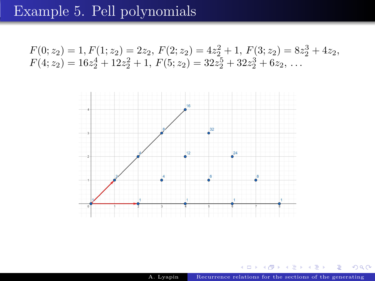# Example 5. Pell polynomials

$$
F(0; z2) = 1, F(1; z2) = 2z2, F(2; z2) = 4z22 + 1, F(3; z2) = 8z23 + 4z2,F(4; z2) = 16z24 + 12z22 + 1, F(5; z2) = 32z25 + 32z23 + 6z2,...
$$



イロト イ部ト イミト イ

舌

Þ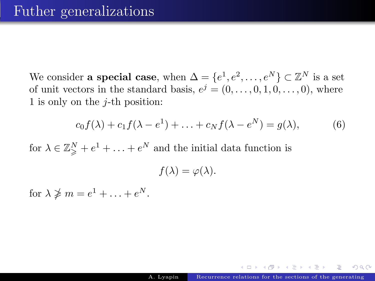We consider **a special case**, when  $\Delta = \{e^1, e^2, \dots, e^N\} \subset \mathbb{Z}^N$  is a set of unit vectors in the standard basis,  $e^j = (0, \ldots, 0, 1, 0, \ldots, 0)$ , where 1 is only on the  $j$ -th position:

<span id="page-26-0"></span>
$$
c_0 f(\lambda) + c_1 f(\lambda - e^1) + \ldots + c_N f(\lambda - e^N) = g(\lambda), \tag{6}
$$

for  $\lambda \in \mathbb{Z}_{\geqslant}^N + e^1 + \ldots + e^N$  and the initial data function is

 $f(\lambda) = \varphi(\lambda).$ 

for  $\lambda \ngeq m = e^1 + \ldots + e^N$ .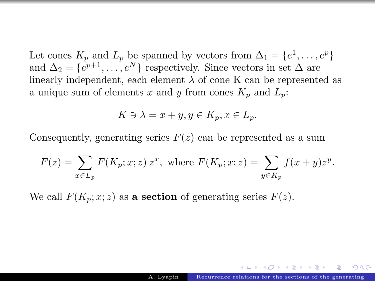Let cones  $K_p$  and  $L_p$  be spanned by vectors from  $\Delta_1 = \{e^1, \ldots, e^p\}$ and  $\Delta_2 = \{e^{p+1}, \ldots, e^N\}$  respectively. Since vectors in set  $\Delta$  are linearly independent, each element  $\lambda$  of cone K can be represented as a unique sum of elements x and y from cones  $K_p$  and  $L_p$ :

$$
K \ni \lambda = x + y, y \in K_p, x \in L_p.
$$

Consequently, generating series  $F(z)$  can be represented as a sum

$$
F(z) = \sum_{x \in L_p} F(K_p; x; z) z^x, \text{ where } F(K_p; x; z) = \sum_{y \in K_p} f(x + y) z^y.
$$

We call  $F(K_p; x; z)$  as a section of generating series  $F(z)$ .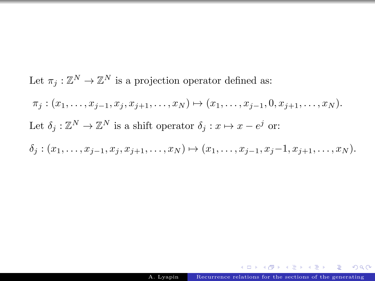Let  $\pi_j : \mathbb{Z}^N \to \mathbb{Z}^N$  is a projection operator defined as:  $\pi_i : (x_1, \ldots, x_{i-1}, x_i, x_{i+1}, \ldots, x_N) \mapsto (x_1, \ldots, x_{i-1}, 0, x_{i+1}, \ldots, x_N).$ Let  $\delta_j : \mathbb{Z}^N \to \mathbb{Z}^N$  is a shift operator  $\delta_j : x \mapsto x - e^j$  or:  $\delta_i$  :  $(x_1, \ldots, x_{i-1}, x_i, x_{i+1}, \ldots, x_N) \mapsto (x_1, \ldots, x_{i-1}, x_i-1, x_{i+1}, \ldots, x_N).$ 

**NOVEMBER**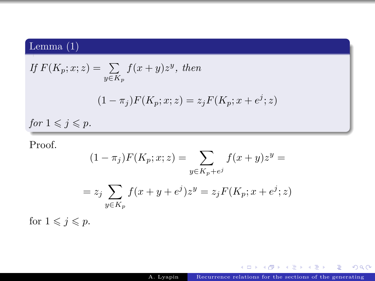### Lemma (1)

If 
$$
F(K_p; x; z) = \sum_{y \in K_p} f(x + y)z^y
$$
, then  
\n
$$
(1 - \pi_j)F(K_p; x; z) = z_jF(K_p; x + e^j; z)
$$
\nfor  $1 \le j \le p$ .

Proof.

$$
(1 - \pi_j)F(K_p; x; z) = \sum_{y \in K_p + e^j} f(x + y)z^y =
$$

$$
= z_j \sum_{y \in K_p} f(x + y + e^j)z^y = z_j F(K_p; x + e^j; z)
$$

for  $1 \leqslant j \leqslant p$ .

メロト メタト メミト メミト

重

 $2Q$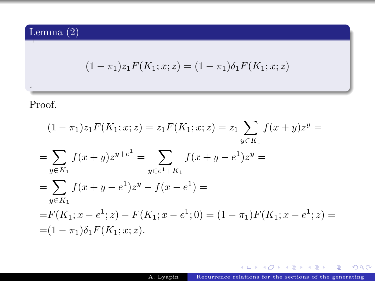Lemma (2)

$$
(1 - \pi_1)z_1 F(K_1; x; z) = (1 - \pi_1)\delta_1 F(K_1; x; z)
$$

Proof.

.

$$
(1 - \pi_1)z_1 F(K_1; x; z) = z_1 F(K_1; x; z) = z_1 \sum_{y \in K_1} f(x + y)z^y =
$$
  
\n
$$
= \sum_{y \in K_1} f(x + y)z^{y + e^1} = \sum_{y \in e^1 + K_1} f(x + y - e^1)z^y =
$$
  
\n
$$
= \sum_{y \in K_1} f(x + y - e^1)z^y - f(x - e^1) =
$$
  
\n
$$
= F(K_1; x - e^1; z) - F(K_1; x - e^1; 0) = (1 - \pi_1)F(K_1; x - e^1; z) =
$$
  
\n
$$
= (1 - \pi_1)\delta_1 F(K_1; x; z).
$$

A. Lyapin [Recurrence relations for the sections of the generating](#page-0-0)

**KID KID KID KID KID → DACK**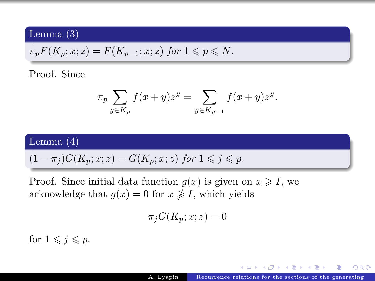#### <span id="page-31-0"></span>Lemma (3)

$$
\pi_p F(K_p; x; z) = F(K_{p-1}; x; z) \text{ for } 1 \leqslant p \leqslant N.
$$

#### Proof. Since

$$
\pi_p \sum_{y \in K_p} f(x+y) z^y = \sum_{y \in K_{p-1}} f(x+y) z^y.
$$

#### Lemma (4)

$$
(1 - \pi_j)G(K_p; x; z) = G(K_p; x; z) \text{ for } 1 \leqslant j \leqslant p.
$$

Proof. Since initial data function  $g(x)$  is given on  $x \geqslant I$ , we acknowledge that  $g(x) = 0$  for  $x \not\geq I$ , which yields

$$
\pi_j G(K_p;x;z)=0
$$

for  $1 \leqslant j \leqslant p$ .

 $\left\{ \begin{array}{ccc} 1 & 0 & 0 \\ 0 & 1 & 0 \end{array} \right.$ 

Έ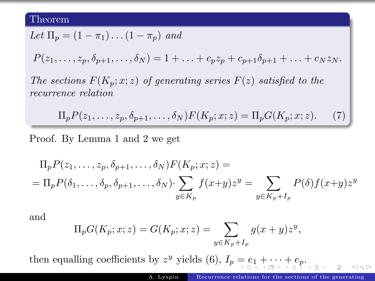#### <span id="page-32-0"></span>Theorem

$$
Let \Pi_p = (1 - \pi_1) \dots (1 - \pi_p) \text{ and }
$$

 $P(z_1, \ldots, z_p, \delta_{p+1}, \ldots, \delta_N) = 1 + \ldots + c_p z_p + c_{p+1} \delta_{p+1} + \ldots + c_N z_N$ .

The sections  $F(K_p; x; z)$  of generating series  $F(z)$  satisfied to the recurrence relation

$$
\Pi_p P(z_1,\ldots,z_p,\delta_{p+1},\ldots,\delta_N) F(K_p;x;z) = \Pi_p G(K_p;x;z). \tag{7}
$$

Proof. By Lemma 1 and 2 we get

$$
\Pi_p P(z_1, \dots, z_p, \delta_{p+1}, \dots, \delta_N) F(K_p; x; z) =
$$
\n
$$
= \Pi_p P(\delta_1, \dots, \delta_p, \delta_{p+1}, \dots, \delta_N) \cdot \sum_{y \in K_p} f(x+y) z^y = \sum_{y \in K_p + I_p} P(\delta) f(x+y) z^y
$$

and

$$
\Pi_p G(K_p; x; z) = G(K_p; x; z) = \sum_{y \in K_p + I_p} g(x + y) z^y,
$$

then[e](#page-37-0)qualling coefficients by  $z^y$  yields [\(6\)](#page-26-0),  $I_p = e_1 + \cdots + e_p$  $I_p = e_1 + \cdots + e_p$  $I_p = e_1 + \cdots + e_p$  $I_p = e_1 + \cdots + e_p$  $I_p = e_1 + \cdots + e_p$  $I_p = e_1 + \cdots + e_p$  $I_p = e_1 + \cdots + e_p$  $I_p = e_1 + \cdots + e_p$ [.](#page-0-0)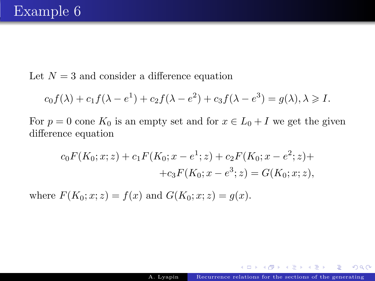<span id="page-33-0"></span>Let  $N = 3$  and consider a difference equation

$$
c_0 f(\lambda) + c_1 f(\lambda - e^1) + c_2 f(\lambda - e^2) + c_3 f(\lambda - e^3) = g(\lambda), \lambda \ge 1.
$$

For  $p = 0$  cone  $K_0$  is an empty set and for  $x \in L_0 + I$  we get the given difference equation

$$
c_0 F(K_0; x; z) + c_1 F(K_0; x - e^1; z) + c_2 F(K_0; x - e^2; z) +
$$
  
+ 
$$
c_3 F(K_0; x - e^3; z) = G(K_0; x; z),
$$

where  $F(K_0; x; z) = f(x)$  and  $G(K_0; x; z) = g(x)$ .

医阿雷氏阿雷氏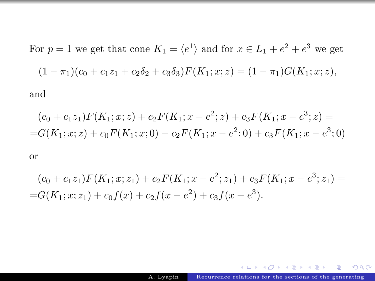For 
$$
p = 1
$$
 we get that cone  $K_1 = \langle e^1 \rangle$  and for  $x \in L_1 + e^2 + e^3$  we get  
\n
$$
(1 - \pi_1)(c_0 + c_1 z_1 + c_2 \delta_2 + c_3 \delta_3) F(K_1; x; z) = (1 - \pi_1) G(K_1; x; z),
$$

and

$$
(c_0 + c_1 z_1)F(K_1; x; z) + c_2 F(K_1; x - e^2; z) + c_3 F(K_1; x - e^3; z) =
$$
  
=
$$
G(K_1; x; z) + c_0 F(K_1; x; 0) + c_2 F(K_1; x - e^2; 0) + c_3 F(K_1; x - e^3; 0)
$$

or

$$
(c_0 + c_1 z_1)F(K_1; x; z_1) + c_2 F(K_1; x - e^2; z_1) + c_3 F(K_1; x - e^3; z_1) =
$$
  
= $G(K_1; x; z_1) + c_0 f(x) + c_2 f(x - e^2) + c_3 f(x - e^3)$ .

イロト イ部ト イミド イミド ニミー りんぴ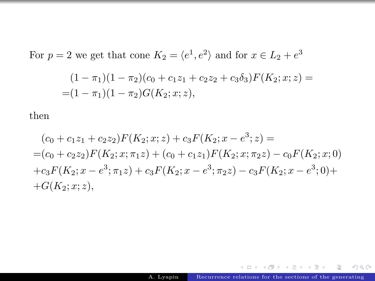For  $p = 2$  we get that cone  $K_2 = \langle e^1, e^2 \rangle$  and for  $x \in L_2 + e^3$ 

$$
(1 - \pi_1)(1 - \pi_2)(c_0 + c_1z_1 + c_2z_2 + c_3\delta_3)F(K_2; x; z) =
$$
  
= (1 - \pi\_1)(1 - \pi\_2)G(K\_2; x; z),

then

$$
(c_0 + c_1 z_1 + c_2 z_2)F(K_2; x; z) + c_3 F(K_2; x - e^3; z) =
$$
  
=  $(c_0 + c_2 z_2)F(K_2; x; \pi_1 z) + (c_0 + c_1 z_1)F(K_2; x; \pi_2 z) - c_0 F(K_2; x; 0)$   
+  $c_3 F(K_2; x - e^3; \pi_1 z) + c_3 F(K_2; x - e^3; \pi_2 z) - c_3 F(K_2; x - e^3; 0) +$   
+  $G(K_2; x; z),$ 

 $A \cup B \rightarrow A \oplus B \rightarrow A \oplus B \rightarrow A \oplus B \rightarrow A \oplus B \oplus A \oplus B \oplus A \oplus B \oplus A \oplus B \oplus A \oplus B \oplus A \oplus B \oplus A \oplus B \oplus A \oplus B \oplus A \oplus B \oplus A \oplus B \oplus A \oplus B \oplus A \oplus B \oplus A \oplus B \oplus A \oplus B \oplus A \oplus B \oplus A \oplus B \oplus A \oplus B \oplus A \oplus B \oplus A \oplus B \oplus A \oplus B \oplus A \oplus B \oplus A \oplus B \oplus A \oplus B \oplus A \oplus B \oplus A$ 

 $298$ 

Þ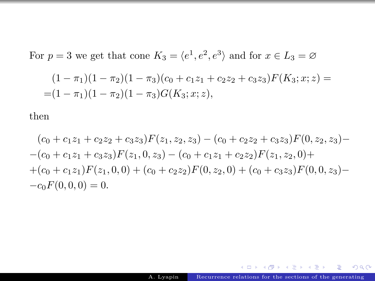For  $p = 3$  we get that cone  $K_3 = \langle e^1, e^2, e^3 \rangle$  and for  $x \in L_3 = \emptyset$ 

$$
(1 - \pi_1)(1 - \pi_2)(1 - \pi_3)(c_0 + c_1z_1 + c_2z_2 + c_3z_3)F(K_3; x; z) =
$$
  
= (1 - \pi\_1)(1 - \pi\_2)(1 - \pi\_3)G(K\_3; x; z),

then

$$
(c_0 + c_1z_1 + c_2z_2 + c_3z_3)F(z_1, z_2, z_3) - (c_0 + c_2z_2 + c_3z_3)F(0, z_2, z_3) -
$$
  
\n
$$
-(c_0 + c_1z_1 + c_3z_3)F(z_1, 0, z_3) - (c_0 + c_1z_1 + c_2z_2)F(z_1, z_2, 0) +
$$
  
\n
$$
+(c_0 + c_1z_1)F(z_1, 0, 0) + (c_0 + c_2z_2)F(0, z_2, 0) + (c_0 + c_3z_3)F(0, 0, z_3) -
$$
  
\n
$$
-c_0F(0, 0, 0) = 0.
$$

メロト メタト メミト メミト

 $298$ 

Þ